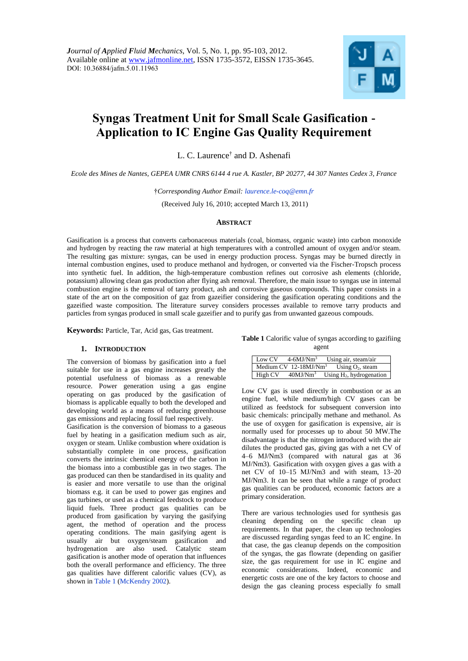

# **Syngas Treatment Unit for Small Scale Gasification - Application to IC Engine Gas Quality Requirement**

L. C. Laurence† and D. Ashenafi

*Ecole des Mines de Nantes, GEPEA UMR CNRS 6144 4 rue A. Kastler, BP 20277, 44 307 Nantes Cedex 3, France*

†*Corresponding Author Email: laurence.le-coq@emn.fr*

(Received July 16, 2010; accepted March 13, 2011)

#### **ABSTRACT**

Gasification is a process that converts carbonaceous materials (coal, biomass, organic waste) into carbon monoxide and hydrogen by reacting the raw material at high temperatures with a controlled amount of oxygen and/or steam. The resulting gas mixture: syngas, can be used in energy production process. Syngas may be burned directly in internal combustion engines, used to produce methanol and hydrogen, or converted via the Fischer-Tropsch process into synthetic fuel. In addition, the high-temperature combustion refines out corrosive ash elements (chloride, potassium) allowing clean gas production after flying ash removal. Therefore, the main issue to syngas use in internal combustion engine is the removal of tarry product, ash and corrosive gaseous compounds. This paper consists in a state of the art on the composition of gaz from gazeifier considering the gasification operating conditions and the gazeified waste composition. The literature survey considers processes available to remove tarry products and particles from syngas produced in small scale gazeifier and to purify gas from unwanted gazeous compouds.

**Keywords:** Particle, Tar, Acid gas, Gas treatment.

# **1. INTRODUCTION**

The conversion of biomass by gasification into a fuel suitable for use in a gas engine increases greatly the potential usefulness of biomass as a renewable resource. Power generation using a gas engine operating on gas produced by the gasification of biomass is applicable equally to both the developed and developing world as a means of reducing greenhouse gas emissions and replacing fossil fuel respectively.

Gasification is the conversion of biomass to a gaseous fuel by heating in a gasification medium such as air, oxygen or steam. Unlike combustion where oxidation is substantially complete in one process, gasification converts the intrinsic chemical energy of the carbon in the biomass into a combustible gas in two stages. The gas produced can then be standardised in its quality and is easier and more versatile to use than the original biomass e.g. it can be used to power gas engines and gas turbines, or used as a chemical feedstock to produce liquid fuels. Three product gas qualities can be produced from gasification by varying the gasifying agent, the method of operation and the process operating conditions. The main gasifying agent is usually air but oxygen/steam gasification and hydrogenation are also used. Catalytic steam gasification is another mode of operation that influences both the overall performance and efficiency. The three gas qualities have different calorific values (CV), as shown in Table 1 (McKendry 2002).

**Table 1** Calorific value of syngas according to gazifiing agent

| Low CV  | $4-6MJ/Nm3$                | Using air, steam/air        |
|---------|----------------------------|-----------------------------|
|         | Medium $CV$ 12-18 $MJ/Nm3$ | Using $O_2$ , steam         |
| High CV | $40$ MJ/Nm <sup>3</sup>    | Using $H_2$ , hydrogenation |

Low CV gas is used directly in combustion or as an engine fuel, while medium/high CV gases can be utilized as feedstock for subsequent conversion into basic chemicals: principally methane and methanol. As the use of oxygen for gasification is expensive, air is normally used for processes up to about 50 MW.The disadvantage is that the nitrogen introduced with the air dilutes the producted gas, giving gas with a net CV of 4–6 MJ/Nm3 (compared with natural gas at 36 MJ/Nm3). Gasification with oxygen gives a gas with a net CV of 10–15 MJ/Nm3 and with steam, 13–20 MJ/Nm3. It can be seen that while a range of product gas qualities can be produced, economic factors are a primary consideration.

There are various technologies used for synthesis gas cleaning depending on the specific clean up requirements. In that paper, the clean up technologies are discussed regarding syngas feed to an IC engine. In that case, the gas cleanup depends on the composition of the syngas, the gas flowrate (depending on gasifier size, the gas requirement for use in IC engine and economic considerations. Indeed, economic and energetic costs are one of the key factors to choose and design the gas cleaning process especially fo small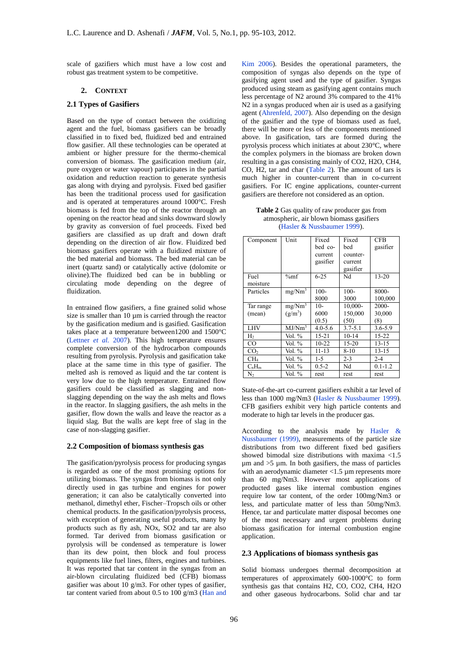scale of gazifiers which must have a low cost and robust gas treatment system to be competitive.

## **2. CONTEXT**

# **2.1 Types of Gasifiers**

Based on the type of contact between the oxidizing agent and the fuel, biomass gasifiers can be broadly classified in to fixed bed, fluidized bed and entrained flow gasifier. All these technologies can be operated at ambient or higher pressure for the thermo-chemical conversion of biomass. The gasification medium (air, pure oxygen or water vapour) participates in the partial oxidation and reduction reaction to generate synthesis gas along with drying and pyrolysis. Fixed bed gasifier has been the traditional process used for gasification and is operated at temperatures around 1000°C. Fresh biomass is fed from the top of the reactor through an opening on the reactor head and sinks downward slowly by gravity as conversion of fuel proceeds. Fixed bed gasifiers are classified as up draft and down draft depending on the direction of air flow. Fluidized bed biomass gasifiers operate with a fluidized mixture of the bed material and biomass. The bed material can be inert (quartz sand) or catalytically active (dolomite or olivine).The fluidized bed can be in bubbling or circulating mode depending on the degree of fluidization.

In entrained flow gasifiers, a fine grained solid whose size is smaller than 10 um is carried through the reactor by the gasification medium and is gasified. Gasification takes place at a temperature between1200 and 1500°C (Lettner *et al.* 2007). This high temperature ensures complete conversion of the hydrocarbon compounds resulting from pyrolysis. Pyrolysis and gasification take place at the same time in this type of gasifier. The melted ash is removed as liquid and the tar content is very low due to the high temperature. Entrained flow gasifiers could be classified as slagging and nonslagging depending on the way the ash melts and flows in the reactor. In slagging gasifiers, the ash melts in the gasifier, flow down the walls and leave the reactor as a liquid slag. But the walls are kept free of slag in the case of non-slagging gasifier.

#### **2.2 Composition of biomass synthesis gas**

The gasification/pyrolysis process for producing syngas is regarded as one of the most promising options for utilizing biomass. The syngas from biomass is not only directly used in gas turbine and engines for power generation; it can also be catalytically converted into methanol, dimethyl ether, Fischer–Tropsch oils or other chemical products. In the gasification/pyrolysis process, with exception of generating useful products, many by products such as fly ash, NOx, SO2 and tar are also formed. Tar derived from biomass gasification or pyrolysis will be condensed as temperature is lower than its dew point, then block and foul process equipments like fuel lines, filters, engines and turbines. It was reported that tar content in the syngas from an air-blown circulating fluidized bed (CFB) biomass gasifier was about 10 g/m3. For other types of gasifier, tar content varied from about 0.5 to 100 g/m3 (Han and

Kim 2006). Besides the operational parameters, the composition of syngas also depends on the type of gasifying agent used and the type of gasifier. Syngas produced using steam as gasifying agent contains much less percentage of N2 around 3% compared to the 41% N2 in a syngas produced when air is used as a gasifying agent (Ahrenfeld, 2007). Also depending on the design of the gasifier and the type of biomass used as fuel, there will be more or less of the components mentioned above. In gasification, tars are formed during the pyrolysis process which initiates at about 230°C, where the complex polymers in the biomass are broken down resulting in a gas consisting mainly of CO2, H2O, CH4, CO, H2, tar and char (Table 2). The amount of tars is much higher in counter-current than in co-current gasifiers. For IC engine applications, counter-current gasifiers are therefore not considered as an option.

**Table 2** Gas quality of raw producer gas from atmospheric, air blown biomass gasifiers (Hasler & Nussbaumer 1999).

| Component       | Unit               | Fixed       | Fixed       | <b>CFB</b>  |
|-----------------|--------------------|-------------|-------------|-------------|
|                 |                    | bed co-     | bed         | gasifier    |
|                 |                    | current     | counter-    |             |
|                 |                    | gasifier    | current     |             |
|                 |                    |             | gasifier    |             |
| Fuel            | $\%mf$             | $6 - 25$    | Nd          | $13 - 20$   |
| moisture        |                    |             |             |             |
| Particles       | mg/Nm <sup>3</sup> | $100 -$     | $100 -$     | 8000-       |
|                 |                    | 8000        | 3000        | 100,000     |
| Tar range       | mg/Nm <sup>3</sup> | $10-$       | 10,000-     | 2000-       |
| (mean)          | $(g/m^3)$          | 6000        | 150,000     | 30,000      |
|                 |                    | (0.5)       | (50)        | (8)         |
| <b>LHV</b>      | MJ/Nm <sup>3</sup> | $4.0 - 5.6$ | $3.7 - 5.1$ | $3.6 - 5.9$ |
| H <sub>2</sub>  | Vol. %             | $15 - 21$   | $10-14$     | $15 - 22$   |
| CO              | Vol. %             | $10-22$     | $15 - 20$   | $13 - 15$   |
| CO <sub>2</sub> | Vol. %             | $11 - 13$   | $8 - 10$    | $13 - 15$   |
| CH <sub>4</sub> | Vol. %             | $1-5$       | $2 - 3$     | $2 - 4$     |
| $C_nH_m$        | Vol. %             | $0.5 - 2$   | Nd          | $0.1 - 1.2$ |
| N,              | Vol. %             | rest        | rest        | rest        |

State-of-the-art co-current gasifiers exhibit a tar level of less than 1000 mg/Nm3 (Hasler & Nussbaumer 1999). CFB gasifiers exhibit very high particle contents and moderate to high tar levels in the producer gas.

According to the analysis made by Hasler & Nussbaumer (1999), measurements of the particle size distributions from two different fixed bed gasifiers showed bimodal size distributions with maxima <1.5  $\mu$ m and  $>5$   $\mu$ m. In both gasifiers, the mass of particles with an aerodynamic diameter <1.5  $\mu$ m represents more than 60 mg/Nm3. However most applications of producted gases like internal combustion engines require low tar content, of the order 100mg/Nm3 or less, and particulate matter of less than 50mg/Nm3. Hence, tar and particulate matter disposal becomes one of the most necessary and urgent problems during biomass gasification for internal combustion engine application.

# **2.3 Applications of biomass synthesis gas**

Solid biomass undergoes thermal decomposition at temperatures of approximately 600-1000°C to form synthesis gas that contains H2, CO, CO2, CH4, H2O and other gaseous hydrocarbons. Solid char and tar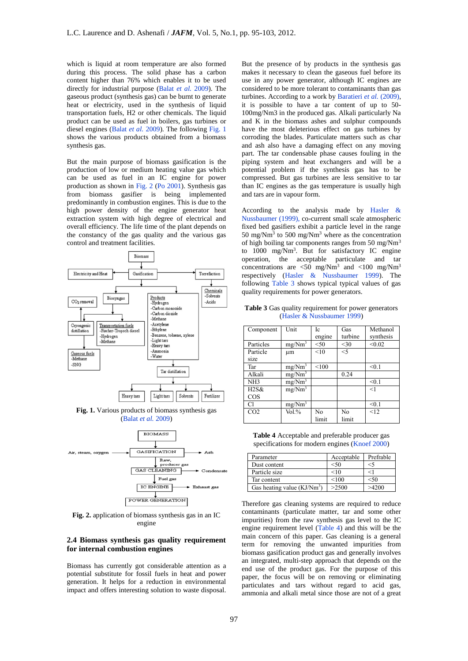which is liquid at room temperature are also formed during this process. The solid phase has a carbon content higher than 76% which enables it to be used directly for industrial purpose (Balat *et al.* 2009). The gaseous product (synthesis gas) can be burnt to generate heat or electricity, used in the synthesis of liquid transportation fuels, H2 or other chemicals. The liquid product can be used as fuel in boilers, gas turbines or diesel engines (Balat *et al.* 2009). The following Fig. 1 shows the various products obtained from a biomass synthesis gas.

But the main purpose of biomass gasification is the production of low or medium heating value gas which can be used as fuel in an IC engine for power production as shown in Fig. 2 (Po 2001). Synthesis gas from biomass gasifier is being implemented predominantly in combustion engines. This is due to the high power density of the engine generator heat extraction system with high degree of electrical and overall efficiency. The life time of the plant depends on the constancy of the gas quality and the various gas control and treatment facilities.



(Balat *et al.* 2009)



**Fig. 2.** application of biomass synthesis gas in an IC engine

# **2.4 Biomass synthesis gas quality requirement for internal combustion engines**

Biomass has currently got considerable attention as a potential substitute for fossil fuels in heat and power generation. It helps for a reduction in environmental impact and offers interesting solution to waste disposal.

But the presence of by products in the synthesis gas makes it necessary to clean the gaseous fuel before its use in any power generator, although IC engines are considered to be more tolerant to contaminants than gas turbines. According to a work by Baratieri et al. (2009), it is possible to have a tar content of up to 50- 100mg/Nm3 in the produced gas. Alkali particularly Na and K in the biomass ashes and sulphur compounds have the most deleterious effect on gas turbines by corroding the blades. Particulate matters such as char and ash also have a damaging effect on any moving part. The tar condensable phase causes fouling in the piping system and heat exchangers and will be a potential problem if the synthesis gas has to be compressed. But gas turbines are less sensitive to tar than IC engines as the gas temperature is usually high and tars are in vapour form.

According to the analysis made by Hasler & Nussbaumer (1999), co-current small scale atmospheric fixed bed gasifiers exhibit a particle level in the range 50 mg/Nm<sup>3</sup> to 500 mg/Nm<sup>3</sup> where as the concentration of high boiling tar components ranges from 50 mg/Nm<sup>3</sup> to 1000 mg/Nm<sup>3</sup> . But for satisfactory IC engine operation, the acceptable particulate and tar concentrations are  $\langle 50 \text{ mg/Nm}^3 \text{ and } \langle 100 \text{ mg/Nm}^3 \rangle$ respectively (Hasler & Nussbaumer 1999). The following Table 3 shows typical typical values of gas quality requirements for power generators.

**Table 3** Gas quality requirement for power generators (Hasler & Nussbaumer 1999)

| Component       | Unit               | Ic     | Gas     | Methanol  |
|-----------------|--------------------|--------|---------|-----------|
|                 |                    | engine | turbine | synthesis |
| Particles       | $mg/Nm^3$          | < 50   | $<$ 30  | < 0.02    |
| Particle        | um                 | <10    | $<$ 5   |           |
| size            |                    |        |         |           |
| Tar             | mg/Nm <sup>3</sup> | < 100  |         | < 0.1     |
| Alkali          | mg/Nm <sup>3</sup> |        | 0.24    |           |
| NH <sub>3</sub> | mg/Nm <sup>3</sup> |        |         | < 0.1     |
| $H2S\&$         | mg/Nm <sup>3</sup> |        |         | <1        |
| COS             |                    |        |         |           |
| Cl              | mg/Nm <sup>3</sup> |        |         | < 0.1     |
| CO <sub>2</sub> | Vol. %             | No     | No      | <12       |
|                 |                    | limit  | limit   |           |

**Table 4** Acceptable and preferable producer gas specifications for modern engines (Knoef 2000)

| Parameter                    | Acceptable | Prefrable |
|------------------------------|------------|-----------|
| Dust content                 | < 50       | $<$ 5     |
| Particle size                | <10        | <1        |
| Tar content                  | < 100      | < 50      |
| Gas heating value $(KJ/Nm3)$ | >2500      | >4200     |

Therefore gas cleaning systems are required to reduce contaminants (particulate matter, tar and some other impurities) from the raw synthesis gas level to the IC engine requirement level (Table 4) and this will be the main concern of this paper. Gas cleaning is a general term for removing the unwanted impurities from biomass gasification product gas and generally involves an integrated, multi-step approach that depends on the end use of the product gas. For the purpose of this paper, the focus will be on removing or eliminating particulates and tars without regard to acid gas, ammonia and alkali metal since those are not of a great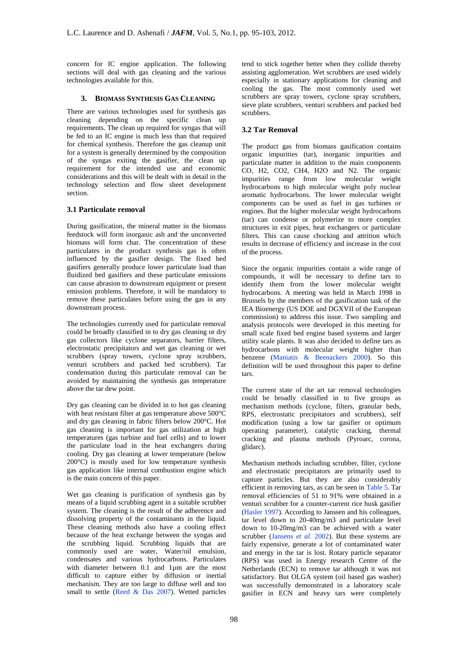concern for IC engine application. The following sections will deal with gas cleaning and the various technologies available for this.

# **3. BIOMASS SYNTHESIS GAS CLEANING**

There are various technologies used for synthesis gas cleaning depending on the specific clean up requirements. The clean up required for syngas that will be fed to an IC engine is much less than that required for chemical synthesis. Therefore the gas cleanup unit for a system is generally determined by the composition of the syngas exiting the gasifier, the clean up requirement for the intended use and economic considerations and this will be dealt with in detail in the technology selection and flow sheet development section.

## **3.1 Particulate removal**

During gasification, the mineral matter in the biomass feedstock will form inorganic ash and the unconverted biomass will form char. The concentration of these particulates in the product synthesis gas is often influenced by the gasifier design. The fixed bed gasifiers generally produce lower particulate load than fluidized bed gasifiers and these particulate emissions can cause abrasion to downstream equipment or present emission problems. Therefore, it will be mandatory to remove these particulates before using the gas in any downstream process.

The technologies currently used for particulate removal could be broadly classified in to dry gas cleaning or dry gas collectors like cyclone separators, barrier filters, electrostatic precipitators and wet gas cleaning or wet scrubbers (spray towers, cyclone spray scrubbers, venturi scrubbers and packed bed scrubbers). Tar condensation during this particulate removal can be avoided by maintaining the synthesis gas temperature above the tar dew point.

Dry gas cleaning can be divided in to hot gas cleaning with heat resistant filter at gas temperature above 500°C and dry gas cleaning in fabric filters below 200°C. Hot gas cleaning is important for gas utilization at high temperatures (gas turbine and fuel cells) and to lower the particulate load in the heat exchangers during cooling. Dry gas cleaning at lower temperature (below 200°C) is mostly used for low temperature synthesis gas application like internal combustion engine which is the main concern of this paper.

Wet gas cleaning is purification of synthesis gas by means of a liquid scrubbing agent in a suitable scrubber system. The cleaning is the result of the adherence and dissolving property of the contaminants in the liquid. These cleaning methods also have a cooling effect because of the heat exchange between the syngas and the scrubbing liquid. Scrubbing liquids that are commonly used are water, Water/oil emulsion, condensates and various hydrocarbons. Particulates with diameter between 0.1 and 1µm are the most difficult to capture either by diffusion or inertial mechanism. They are too large to diffuse well and too small to settle (Reed & Das 2007). Wetted particles

tend to stick together better when they collide thereby assisting agglomeration. Wet scrubbers are used widely especially in stationary applications for cleaning and cooling the gas. The most commonly used wet scrubbers are spray towers, cyclone spray scrubbers, sieve plate scrubbers, venturi scrubbers and packed bed scrubbers.

# **3.2 Tar Removal**

The product gas from biomass gasification contains organic impurities (tar), inorganic impurities and particulate matter in addition to the main components CO, H2, CO2, CH4, H2O and N2. The organic impurities range from low molecular weight hydrocarbons to high molecular weight poly nuclear aromatic hydrocarbons. The lower molecular weight components can be used as fuel in gas turbines or engines. But the higher molecular weight hydrocarbons (tar) can condense or polymerize to more complex structures in exit pipes, heat exchangers or particulate filters. This can cause chocking and attrition which results in decrease of efficiency and increase in the cost of the process.

Since the organic impurities contain a wide range of compounds, it will be necessary to define tars to identify them from the lower molecular weight hydrocarbons. A meeting was held in March 1998 in Brussels by the members of the gasification task of the IEA Bioenergy (US DOE and DGXVII of the European commission) to address this issue. Two sampling and analysis protocols were developed in this meeting for small scale fixed bed engine based systems and larger utility scale plants. It was also decided to define tars as hydrocarbons with molecular weight higher than benzene (Maniatis & Beenackers 2000). So this definition will be used throughout this paper to define tars.

The current state of the art tar removal technologies could be broadly classified in to five groups as mechanism methods (cyclone, filters, granular beds, RPS, electrostatic precipitators and scrubbers), self modification (using a low tar gasifier or optimum operating parameter), catalytic cracking, thermal cracking and plasma methods (Pyroarc, corona, glidarc).

Mechanism methods including scrubber, filter, cyclone and electrostatic precipitators are primarily used to capture particles. But they are also considerably efficient in removing tars, as can be seen in Table 5. Tar removal efficiencies of 51 to 91% were obtained in a venturi scrubber for a counter-current rice husk gasifier (Hasler 1997). According to Janssen and his colleagues, tar level down to 20-40mg/m3 and particulate level down to 10-20mg/m3 can be achieved with a water scrubber (Jansens *et al.* 2002). But these systems are fairly expensive, generate a lot of contaminated water and energy in the tar is lost. Rotary particle separator (RPS) was used in Energy research Centre of the Netherlands (ECN) to remove tar although it was not satisfactory. But OLGA system (oil based gas washer) was successfully demonstrated in a laboratory scale gasifier in ECN and heavy tars were completely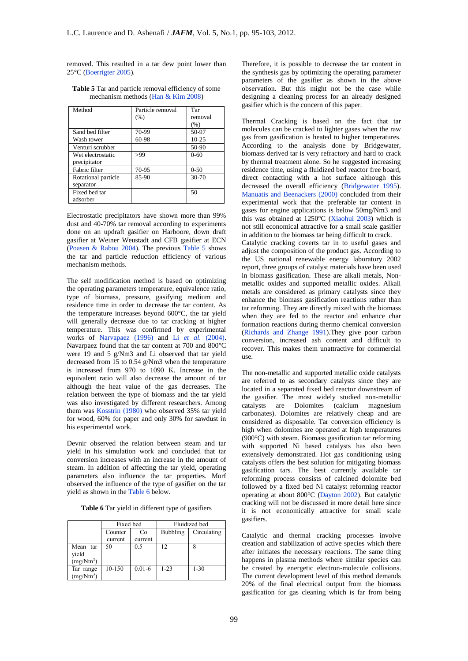removed. This resulted in a tar dew point lower than 25°C (Boerrigter 2005).

| Method              | Particle removal | Tar      |
|---------------------|------------------|----------|
|                     | (% )             | removal  |
|                     |                  | (% )     |
| Sand bed filter     | 70-99            | 50-97    |
| Wash tower          | 60-98            | $10-25$  |
| Venturi scrubber    |                  | 50-90    |
| Wet electrostatic   | >99              | $0 - 60$ |
| precipitator        |                  |          |
| Fabric filter       | 70-95            | $0 - 50$ |
| Rotational particle | 85-90            | 30-70    |
| separator           |                  |          |
| Fixed bed tar       |                  | 50       |
| adsorber            |                  |          |

**Table 5** Tar and particle removal efficiency of some mechanism methods (Han & Kim 2008)

Electrostatic precipitators have shown more than 99% dust and 40-70% tar removal according to experiments done on an updraft gasifier on Harboore, down draft gasifier at Weiner Weustadt and CFB gasifier at ECN (Poasen & Rabou 2004). The previous Table 5 shows the tar and particle reduction efficiency of various mechanism methods.

The self modification method is based on optimizing the operating parameters temperature, equivalence ratio, type of biomass, pressure, gasifying medium and residence time in order to decrease the tar content. As the temperature increases beyond 600°C, the tar yield will generally decrease due to tar cracking at higher temperature. This was confirmed by experimental works of Narvapaez (1996) and Li *et al.* (2004). Navarpaez found that the tar content at 700 and 800°C were 19 and 5 g/Nm3 and Li observed that tar yield decreased from 15 to 0.54 g/Nm3 when the temperature is increased from 970 to 1090 K. Increase in the equivalent ratio will also decrease the amount of tar although the heat value of the gas decreases. The relation between the type of biomass and the tar yield was also investigated by different researchers. Among them was Kosstrin (1980) who observed 35% tar yield for wood, 60% for paper and only 30% for sawdust in his experimental work.

Devnir observed the relation between steam and tar yield in his simulation work and concluded that tar conversion increases with an increase in the amount of steam. In addition of affecting the tar yield, operating parameters also influence the tar properties. Morf observed the influence of the type of gasifier on the tar yield as shown in the Table 6 below.

**Table 6** Tar yield in different type of gasifiers

|                                            | Fixed bed |            | Fluidized bed   |             |  |
|--------------------------------------------|-----------|------------|-----------------|-------------|--|
|                                            | Counter   | Co         | <b>Bubbling</b> | Circulating |  |
|                                            | current   | current    |                 |             |  |
| Mean tar<br>yield<br>(mg/Nm <sup>3</sup> ) | 50        | 0.5        | 12              | 8           |  |
| Tar range<br>(mg/Nm <sup>3</sup> )         | 10-150    | $0.01 - 6$ | $1 - 23$        | $1 - 30$    |  |

Therefore, it is possible to decrease the tar content in the synthesis gas by optimizing the operating parameter parameters of the gasifier as shown in the above observation. But this might not be the case while designing a cleaning process for an already designed gasifier which is the concern of this paper.

Thermal Cracking is based on the fact that tar molecules can be cracked to lighter gases when the raw gas from gasification is heated to higher temperatures. According to the analysis done by Bridgewater, biomass derived tar is very refractory and hard to crack by thermal treatment alone. So he suggested increasing residence time, using a fluidized bed reactor free board, direct contacting with a hot surface although this decreased the overall efficiency (Bridgewater 1995). Manuatis and Beenackers (2000) concluded from their experimental work that the preferable tar content in gases for engine applications is below 50mg/Nm3 and this was obtained at 1250°C (Xiaohui 2003) which is not still economical attractive for a small scale gasifier in addition to the biomass tar being difficult to crack.

Catalytic cracking coverts tar in to useful gases and adjust the composition of the product gas. According to the US national renewable energy laboratory 2002 report, three groups of catalyst materials have been used in biomass gasification. These are alkali metals, Nonmetallic oxides and supported metallic oxides. Alkali metals are considered as primary catalysts since they enhance the biomass gasification reactions rather than tar reforming. They are directly mixed with the biomass when they are fed to the reactor and enhance char formation reactions during thermo chemical conversion (Richards and Zhange 1991).They give poor carbon conversion, increased ash content and difficult to recover. This makes them unattractive for commercial use.

The non-metallic and supported metallic oxide catalysts are referred to as secondary catalysts since they are located in a separated fixed bed reactor downstream of the gasifier. The most widely studied non-metallic catalysts are Dolomites (calcium magnesium carbonates). Dolomites are relatively cheap and are considered as disposable. Tar conversion efficiency is high when dolomites are operated at high temperatures (900°C) with steam. Biomass gasification tar reforming with supported Ni based catalysts has also been extensively demonstrated. Hot gas conditioning using catalysts offers the best solution for mitigating biomass gasification tars. The best currently available tar reforming process consists of calcined dolomite bed followed by a fixed bed Ni catalyst reforming reactor operating at about 800°C (Dayton 2002). But catalytic cracking will not be discussed in more detail here since it is not economically attractive for small scale gasifiers.

Catalytic and thermal cracking processes involve creation and stabilization of active species which there after initiates the necessary reactions. The same thing happens in plasma methods where similar species can be created by energetic electron-molecule collisions. The current development level of this method demands 20% of the final electrical output from the biomass gasification for gas cleaning which is far from being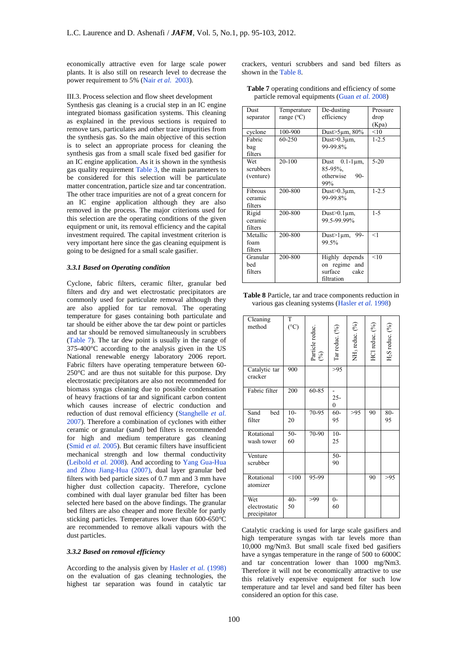economically attractive even for large scale power plants. It is also still on research level to decrease the power requirement to 5% (Nair *et al.* 2003).

#### III.3. Process selection and flow sheet development

Synthesis gas cleaning is a crucial step in an IC engine integrated biomass gasification systems. This cleaning as explained in the previous sections is required to remove tars, particulates and other trace impurities from the synthesis gas. So the main objective of this section is to select an appropriate process for cleaning the synthesis gas from a small scale fixed bed gasifier for an IC engine application. As it is shown in the synthesis gas quality requirement Table 3, the main parameters to be considered for this selection will be particulate matter concentration, particle size and tar concentration. The other trace impurities are not of a great concern for an IC engine application although they are also removed in the process. The major criterions used for this selection are the operating conditions of the given equipment or unit, its removal efficiency and the capital investment required. The capital investment criterion is very important here since the gas cleaning equipment is going to be designed for a small scale gasifier.

#### *3.3.1 Based on Operating condition*

Cyclone, fabric filters, ceramic filter, granular bed filters and dry and wet electrostatic precipitators are commonly used for particulate removal although they are also applied for tar removal. The operating temperature for gases containing both particulate and tar should be either above the tar dew point or particles and tar should be removed simultaneously in scrubbers (Table 7). The tar dew point is usually in the range of 375-400°C according to the analysis given in the US National renewable energy laboratory 2006 report. Fabric filters have operating temperature between 60- 250°C and are thus not suitable for this purpose. Dry electrostatic precipitators are also not recommended for biomass syngas cleaning due to possible condensation of heavy fractions of tar and significant carbon content which causes increase of electric conduction and reduction of dust removal efficiency (Stanghelle *et al.* 2007). Therefore a combination of cyclones with either ceramic or granular (sand) bed filters is recommended for high and medium temperature gas cleaning (Smid *et al.* 2005). But ceramic filters have insufficient mechanical strength and low thermal conductivity (Leibold *et al.* 2008). And according to Yang Gua-Hua and Zhou Jiang-Hua (2007), dual layer granular bed filters with bed particle sizes of 0.7 mm and 3 mm have higher dust collection capacity. Therefore, cyclone combined with dual layer granular bed filter has been selected here based on the above findings. The granular bed filters are also cheaper and more flexible for partly sticking particles. Temperatures lower than 600-650°C are recommended to remove alkali vapours with the dust particles.

## *3.3.2 Based on removal efficiency*

According to the analysis given by Hasler *et al.* (1998) on the evaluation of gas cleaning technologies, the highest tar separation was found in catalytic tar crackers, venturi scrubbers and sand bed filters as shown in the Table 8.

| <b>Table 7</b> operating conditions and efficiency of some |  |
|------------------------------------------------------------|--|
| particle removal equipments (Guan <i>et al.</i> 2008)      |  |

| Dust      | Temperature         | De-dusting                  | Pressure  |
|-----------|---------------------|-----------------------------|-----------|
| separator | range $(^{\circ}C)$ | efficiency                  | drop      |
|           |                     |                             | (Kpa)     |
| cyclone   | 100-900             | Dust $>5\mu$ m, 80%         | < 10      |
| Fabric    | 60-250              | Dust $>0.3$ um.             | $1 - 2.5$ |
| bag       |                     | 99-99.8%                    |           |
| filters   |                     |                             |           |
| Wet       | 20-100              | $0.1 - 1 \,\mu m$ ,<br>Dust | $5-20$    |
| scrubbers |                     | $85-95\%$ .                 |           |
| (venture) |                     | otherwise<br>$90 -$         |           |
|           |                     | 99%                         |           |
| Fibrous   | 200-800             | Dust $>0.3 \mu$ m,          | $1 - 2.5$ |
| ceramic   |                     | 99-99.8%                    |           |
| filters   |                     |                             |           |
| Rigid     | 200-800             | Dust $>0.1 \mu m$ ,         | $1 - 5$   |
| ceramic   |                     | 99.5-99.99%                 |           |
| filters   |                     |                             |           |
| Metallic  | 200-800             | Dust>1um, 99-               | <1        |
| foam      |                     | 99.5%                       |           |
| filters   |                     |                             |           |
| Granular  | 200-800             | Highly depends              | < 10      |
| hed       |                     |                             |           |
|           |                     | on regime and               |           |
| filters   |                     | surface<br>cake             |           |
|           |                     | filtration                  |           |

**Table 8** Particle, tar and trace components reduction in various gas cleaning systems (Hasler *et al.* 1998)

| Cleaning<br>method                   | T<br>(°C)   | Particle reduc.<br>$\binom{96}{}$ | Tar reduc. (%)             | NH <sub>3</sub> reduc. (%) | HCl reduc. (%) | $H2S$ reduc. $(%)$ |
|--------------------------------------|-------------|-----------------------------------|----------------------------|----------------------------|----------------|--------------------|
| Catalytic tar<br>cracker             | 900         |                                   | >95                        |                            |                |                    |
| Fabric filter                        | 200         | 60-85                             | $25 -$<br>$\boldsymbol{0}$ |                            |                |                    |
| Sand<br>bed<br>filter                | $10-$<br>20 | 70-95                             | $60 -$<br>95               | >95                        | 90             | $80 -$<br>95       |
| Rotational<br>wash tower             | $50-$<br>60 | 70-90                             | $10-$<br>25                |                            |                |                    |
| Venture<br>scrubber                  |             |                                   | $50 -$<br>90               |                            |                |                    |
| Rotational<br>atomizer               | < 100       | 95-99                             |                            |                            | 90             | >95                |
| Wet<br>electrostatic<br>precipitator | $40-$<br>50 | >99                               | $0-$<br>60                 |                            |                |                    |

Catalytic cracking is used for large scale gasifiers and high temperature syngas with tar levels more than 10,000 mg/Nm3. But small scale fixed bed gasifiers have a syngas temperature in the range of 500 to 6000C and tar concentration lower than 1000 mg/Nm3. Therefore it will not be economically attractive to use this relatively expensive equipment for such low temperature and tar level and sand bed filter has been considered an option for this case.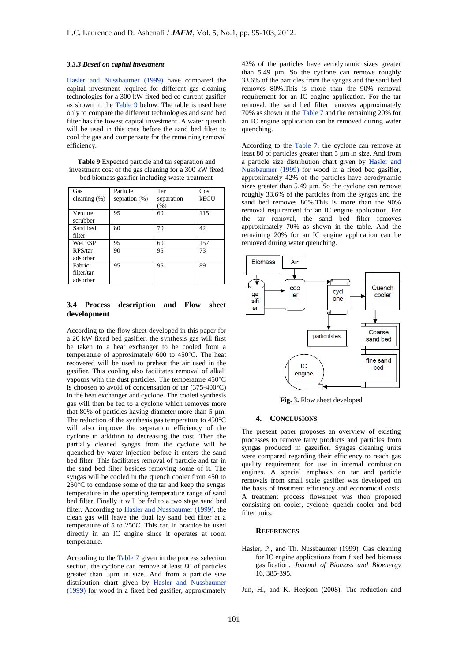#### *3.3.3 Based on capital investment*

Hasler and Nussbaumer (1999) have compared the capital investment required for different gas cleaning technologies for a 300 kW fixed bed co-current gasifier as shown in the Table 9 below. The table is used here only to compare the different technologies and sand bed filter has the lowest capital investment. A water quench will be used in this case before the sand bed filter to cool the gas and compensate for the remaining removal efficiency.

**Table 9** Expected particle and tar separation and investment cost of the gas cleaning for a 300 kW fixed bed biomass gasifier including waste treatment

| Gas             | Particle         | Tar        | Cost |
|-----------------|------------------|------------|------|
| cleaning $(\%)$ | sepration $(\%)$ | separation | kECU |
|                 |                  | (% )       |      |
| Venture         | 95               | 60         | 115  |
| scrubber        |                  |            |      |
| Sand bed        | 80               | 70         | 42   |
| filter          |                  |            |      |
| Wet ESP         | 95               | 60         | 157  |
| RPS/tar         | 90               | 95         | 73   |
| adsorber        |                  |            |      |
| Fabric          | 95               | 95         | 89   |
| filter/tar      |                  |            |      |
| adsorber        |                  |            |      |

# **3.4 Process description and Flow sheet development**

According to the flow sheet developed in this paper for a 20 kW fixed bed gasifier, the synthesis gas will first be taken to a heat exchanger to be cooled from a temperature of approximately 600 to 450°C. The heat recovered will be used to preheat the air used in the gasifier. This cooling also facilitates removal of alkali vapours with the dust particles. The temperature 450°C is choosen to avoid of condensation of tar (375-400°C) in the heat exchanger and cyclone. The cooled synthesis gas will then be fed to a cyclone which removes more that 80% of particles having diameter more than 5 µm. The reduction of the synthesis gas temperature to 450°C will also improve the separation efficiency of the cyclone in addition to decreasing the cost. Then the partially cleaned syngas from the cyclone will be quenched by water injection before it enters the sand bed filter. This facilitates removal of particle and tar in the sand bed filter besides removing some of it. The syngas will be cooled in the quench cooler from 450 to 250°C to condense some of the tar and keep the syngas temperature in the operating temperature range of sand bed filter. Finally it will be fed to a two stage sand bed filter. According to Hasler and Nussbaumer (1999), the clean gas will leave the dual lay sand bed filter at a temperature of 5 to 250C. This can in practice be used directly in an IC engine since it operates at room temperature.

According to the Table 7 given in the process selection section, the cyclone can remove at least 80 of particles greater than 5µm in size. And from a particle size distribution chart given by Hasler and Nussbaumer (1999) for wood in a fixed bed gasifier, approximately

42% of the particles have aerodynamic sizes greater than 5.49 µm. So the cyclone can remove roughly 33.6% of the particles from the syngas and the sand bed removes 80%.This is more than the 90% removal requirement for an IC engine application. For the tar removal, the sand bed filter removes approximately 70% as shown in the Table 7 and the remaining 20% for an IC engine application can be removed during water quenching.

According to the Table 7, the cyclone can remove at least 80 of particles greater than 5 µm in size. And from a particle size distribution chart given by Hasler and Nussbaumer (1999) for wood in a fixed bed gasifier, approximately 42% of the particles have aerodynamic sizes greater than 5.49 µm. So the cyclone can remove roughly 33.6% of the particles from the syngas and the sand bed removes 80%.This is more than the 90% removal requirement for an IC engine application. For the tar removal, the sand bed filter removes approximately 70% as shown in the table. And the remaining 20% for an IC engine application can be removed during water quenching.



**Fig. 3.** Flow sheet developed

#### **4. CONCLUSIONS**

The present paper proposes an overview of existing processes to remove tarry products and particles from syngas produced in gazeifier. Syngas cleaning units were compared regarding their efficiency to reach gas quality requirement for use in internal combustion engines. A special emphasis on tar and particle removals from small scale gasifier was developed on the basis of treatment efficiency and economical costs. A treatment process flowsheet was then proposed consisting on cooler, cyclone, quench cooler and bed filter units.

# **REFERENCES**

Hasler, P., and Th. Nussbaumer (1999). Gas cleaning for IC engine applications from fixed bed biomass gasification. *Journal of Biomass and Bioenergy* 16, 385-395.

Jun, H., and K. Heejoon (2008). The reduction and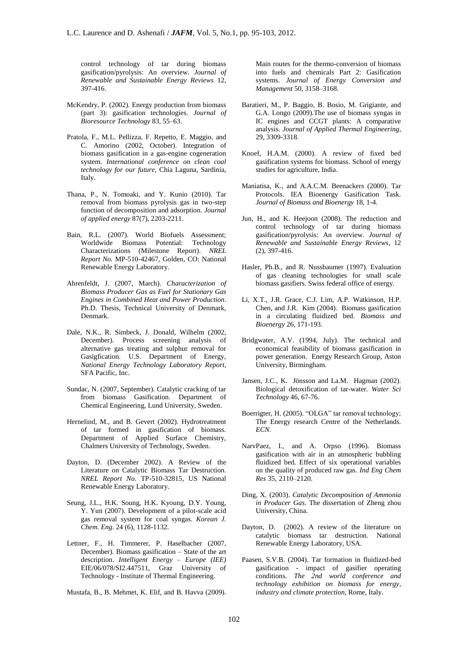control technology of tar during biomass gasification/pyrolysis: An overview. *Journal of Renewable and Sustainable Energy Reviews* 12, 397-416.

- McKendry, P. (2002). Energy production from biomass (part 3): gasification technologies. *Journal of Bioresource Technology* 83, 55–63.
- Pratola, F., M.L. Pellizza, F. Repetto, E. Maggio, and C. Amorino (2002, October). Integration of biomass gasification in a gas-engine cogeneration system. *International conference on clean coal technology for our future*, Chia Laguna, Sardinia, Italy.
- Thana, P., N. Tomoaki, and Y. Kunio (2010). Tar removal from biomass pyrolysis gas in two-step function of decomposition and adsorption. *Journal of applied energy* 87(7), 2203-2211.
- Bain, R.L. (2007). World Biofuels Assessment; Worldwide Biomass Potential: Characterizations (Milestone Report). *NREL Report No.* MP-510-42467, Golden, CO: National Renewable Energy Laboratory.
- Ahrenfeldt, J. (2007, March). *Characterization of Biomass Producer Gas as Fuel for Stationary Gas Engines in Combined Heat and Power Production*. Ph.D. Thesis, Technical University of Denmark, Denmark.
- Dale, N.K., R. Simbeck, J. Donald, Wilhelm (2002, December). Process screening analysis of alternative gas treating and sulphur removal for Gasigfication. U.S. Department of Energy, *National Energy Technology Laboratory Report,* SFA Pacific, Inc.
- Sundac, N. (2007, September). Catalytic cracking of tar from biomass Gasification. Department of Chemical Engineering, Lund University, Sweden.
- Hernelind, M., and B. Gevert (2002). Hydrotreatment of tar formed in gasification of biomass. Department of Applied Surface Chemistry, Chalmers University of Technology, Sweden.
- Dayton, D. (December 2002). A Review of the Literature on Catalytic Biomass Tar Destruction. *NREL Report No.* TP-510-32815, US National Renewable Energy Laboratory.
- Seung, J.L., H.K. Soung, H.K. Kyoung, D.Y. Young, Y. Yun (2007). Development of a pilot-scale acid gas removal system for coal syngas. *Korean J. Chem. Eng.* 24 (6), 1128-1132.
- Lettner, F., H. Timmerer, P. Haselbacher (2007, December). Biomass gasification – State of the art description. *Intelligent Energy – Europe (IEE)* EIE/06/078/SI2.447511, Graz University of Technology - Institute of Thermal Engineering.
- Mustafa, B., B. Mehmet, K. Elif, and B. Havva (2009).

Main routes for the thermo-conversion of biomass into fuels and chemicals Part 2: Gasification systems. *Journal of Energy Conversion and Management* 50, 3158–3168.

- Baratieri, M., P. Baggio, B. Bosio, M. Grigiante, and G.A. Longo (2009).The use of biomass syngas in IC engines and CCGT plants: A comparative analysis. *Journal of Applied Thermal Engineering*, 29, 3309-3318.
- Knoef, H.A.M. (2000). A review of fixed bed gasification systems for biomass. School of energy studies for agriculture, India.
- Maniatisa, K., and A.A.C.M. Beenackers (2000). Tar Protocols. IEA Bioenergy Gasification Task. *Journal of Biomass and Bioenergy* 18, 1-4.
- Jun, H., and K. Heejoon (2008). The reduction and control technology of tar during biomass gasification/pyrolysis: An overview. *Journal of Renewable and Sustainable Energy Reviews*, 12 (2), 397-416.
- Hasler, Ph.B., and R. Nussbaumer (1997). Evaluation of gas cleaning technologies for small scale biomass gasifiers. Swiss federal office of energy.
- Li, X.T., J.R. Grace, C.J. Lim, A.P. Watkinson, H.P. Chen, and J.R. Kim (2004). Biomass gasification in a circulating fluidized bed. *Biomass and Bioenergy* 26, 171-193.
- Bridgwater, A.V. (1994, July). The technical and economical feasibility of biomass gasification in power generation. Energy Research Group, Aston University, Birmingham.
- Jansen, J.C., K. Jönsson and La.M. Hagman (2002). Biological detoxification of tar-water. *Water Sci Technology* 46, 67-76.
- Boerrigter, H. (2005). "OLGA" tar removal technology; The Energy research Centre of the Netherlands. *ECN*.
- NarvPaez, I., and A. Orpso (1996). Biomass gasification with air in an atmospheric bubbling fluidized bed. Effect of six operational variables on the quality of produced raw gas. *Ind Eng Chem Res* 35, 2110–2120.
- Ding, X. (2003). *Catalytic Decomposition of Ammonia in Producer Gas.* The dissertation of Zheng zhou University, China.
- Dayton, D. (2002). A review of the literature on catalytic biomass tar destruction. National Renewable Energy Laboratory, USA.
- Paasen, S.V.B. (2004). Tar formation in fluidized-bed gasification - impact of gasifier operating conditions. *The 2nd world conference and technology exhibition on biomass for energy*, *industry and climate protection,* Rome, Italy.